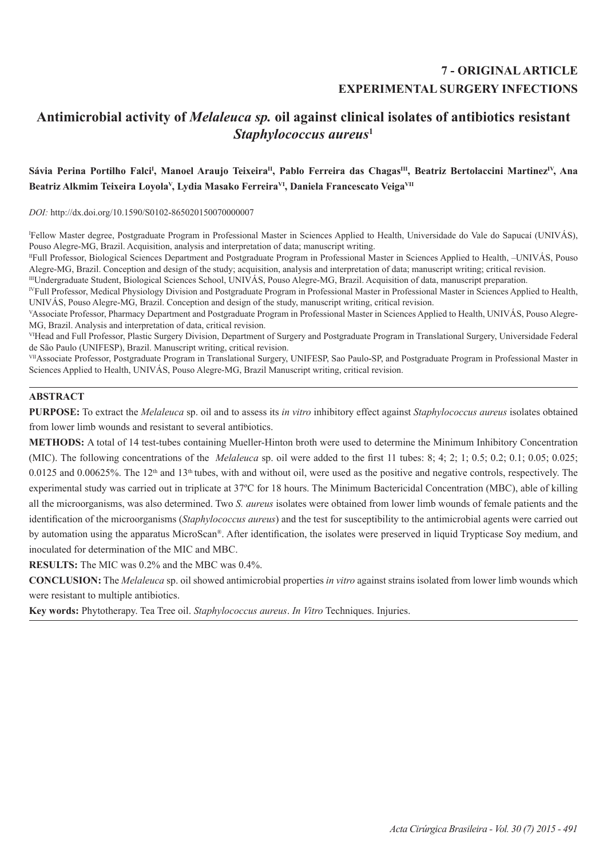# **7 - ORIGINAL ARTICLE EXPERIMENTAL SURGERY INFECTIONS**

# **Antimicrobial activity of** *Melaleuca sp.* **oil against clinical isolates of antibiotics resistant**  *Staphylococcus aureus***<sup>1</sup>**

## Sávia Perina Portilho Falci<sup>i</sup>, Manoel Araujo Teixeira<sup>n</sup>, Pablo Ferreira das Chagas<sup>m</sup>, Beatriz Bertolaccini Martinez<sup>iv</sup>, Ana Beatriz Alkmim Teixeira Loyola<sup>v</sup>, Lydia Masako Ferreira<sup>vi</sup>, Daniela Francescato Veiga<sup>vii</sup>

*DOI:* http://dx.doi.org/10.1590/S0102-865020150070000007

I Fellow Master degree, Postgraduate Program in Professional Master in Sciences Applied to Health, Universidade do Vale do Sapucaí (UNIVÁS), Pouso Alegre-MG, Brazil. Acquisition, analysis and interpretation of data; manuscript writing.

IIFull Professor, Biological Sciences Department and Postgraduate Program in Professional Master in Sciences Applied to Health, –UNIVÁS, Pouso Alegre-MG, Brazil. Conception and design of the study; acquisition, analysis and interpretation of data; manuscript writing; critical revision.

IIIUndergraduate Student, Biological Sciences School, UNIVÁS, Pouso Alegre-MG, Brazil. Acquisition of data, manuscript preparation.

IVFull Professor, Medical Physiology Division and Postgraduate Program in Professional Master in Professional Master in Sciences Applied to Health, UNIVÁS, Pouso Alegre-MG, Brazil. Conception and design of the study, manuscript writing, critical revision.

VAssociate Professor, Pharmacy Department and Postgraduate Program in Professional Master in Sciences Applied to Health, UNIVÁS, Pouso Alegre-MG, Brazil. Analysis and interpretation of data, critical revision.

VIHead and Full Professor, Plastic Surgery Division, Department of Surgery and Postgraduate Program in Translational Surgery, Universidade Federal de São Paulo (UNIFESP), Brazil. Manuscript writing, critical revision.

VIIAssociate Professor, Postgraduate Program in Translational Surgery, UNIFESP, Sao Paulo-SP, and Postgraduate Program in Professional Master in Sciences Applied to Health, UNIVÁS, Pouso Alegre-MG, Brazil Manuscript writing, critical revision.

# **ABSTRACT**

**PURPOSE:** To extract the *Melaleuca* sp. oil and to assess its *in vitro* inhibitory effect against *Staphylococcus aureus* isolates obtained from lower limb wounds and resistant to several antibiotics.

**METHODS:** A total of 14 test-tubes containing Mueller-Hinton broth were used to determine the Minimum Inhibitory Concentration (MIC). The following concentrations of the *Melaleuca* sp. oil were added to the first 11 tubes: 8; 4; 2; 1; 0.5; 0.2; 0.1; 0.05; 0.025; 0.0125 and 0.00625%. The  $12<sup>th</sup>$  and  $13<sup>th</sup>$  tubes, with and without oil, were used as the positive and negative controls, respectively. The experimental study was carried out in triplicate at 37ºC for 18 hours. The Minimum Bactericidal Concentration (MBC), able of killing all the microorganisms, was also determined. Two *S. aureus* isolates were obtained from lower limb wounds of female patients and the identification of the microorganisms (*Staphylococcus aureus*) and the test for susceptibility to the antimicrobial agents were carried out by automation using the apparatus MicroScan®. After identification, the isolates were preserved in liquid Trypticase Soy medium, and inoculated for determination of the MIC and MBC.

**RESULTS:** The MIC was 0.2% and the MBC was 0.4%.

**CONCLUSION:** The *Melaleuca* sp. oil showed antimicrobial properties *in vitro* against strains isolated from lower limb wounds which were resistant to multiple antibiotics.

**Key words:** Phytotherapy. Tea Tree oil. *Staphylococcus aureus*. *In Vitro* Techniques. Injuries.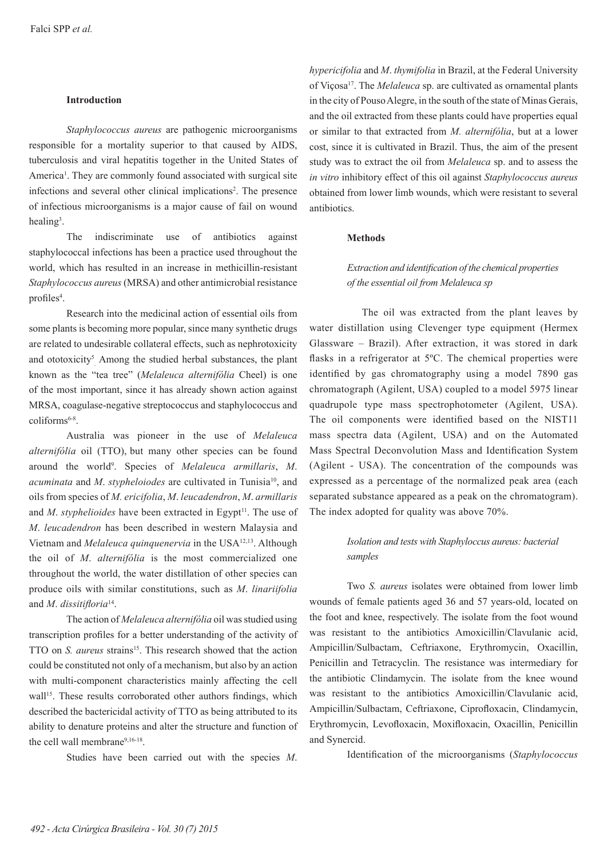### **Introduction**

*Staphylococcus aureus* are pathogenic microorganisms responsible for a mortality superior to that caused by AIDS, tuberculosis and viral hepatitis together in the United States of America<sup>1</sup>. They are commonly found associated with surgical site infections and several other clinical implications<sup>2</sup>. The presence of infectious microorganisms is a major cause of fail on wound healing<sup>3</sup>.

The indiscriminate use of antibiotics against staphylococcal infections has been a practice used throughout the world, which has resulted in an increase in methicillin-resistant *Staphylococcus aureus* (MRSA) and other antimicrobial resistance profiles<sup>4</sup>.

Research into the medicinal action of essential oils from some plants is becoming more popular, since many synthetic drugs are related to undesirable collateral effects, such as nephrotoxicity and ototoxicity<sup>5</sup> Among the studied herbal substances, the plant known as the "tea tree" (*Melaleuca alternifólia* Cheel) is one of the most important, since it has already shown action against MRSA, coagulase-negative streptococcus and staphylococcus and coliforms<sup>6-8</sup>.

Australia was pioneer in the use of *Melaleuca alternifólia* oil (TTO), but many other species can be found around the world9 . Species of *Melaleuca armillaris*, *M*. *acuminata* and *M*. *stypheloiodes* are cultivated in Tunisia10, and oils from species of *M. ericifolia*, *M*. *leucadendron*, *M*. *armillaris* and *M. styphelioides* have been extracted in Egypt<sup>11</sup>. The use of *M*. *leucadendron* has been described in western Malaysia and Vietnam and *Melaleuca quinquenervia* in the USA12,13. Although the oil of *M*. *alternifólia* is the most commercialized one throughout the world, the water distillation of other species can produce oils with similar constitutions, such as *M*. *linariifolia*  and *M*. *dissitifloria*14.

The action of *Melaleuca alternifólia* oil was studied using transcription profiles for a better understanding of the activity of TTO on *S. aureus* strains<sup>15</sup>. This research showed that the action could be constituted not only of a mechanism, but also by an action with multi-component characteristics mainly affecting the cell wall<sup>15</sup>. These results corroborated other authors findings, which described the bactericidal activity of TTO as being attributed to its ability to denature proteins and alter the structure and function of the cell wall membrane<sup>9,16-18</sup>.

Studies have been carried out with the species *M*.

*hypericifolia* and *M*. *thymifolia* in Brazil, at the Federal University of Viçosa17. The *Melaleuca* sp. are cultivated as ornamental plants in the city of Pouso Alegre, in the south of the state of Minas Gerais, and the oil extracted from these plants could have properties equal or similar to that extracted from *M. alternifólia*, but at a lower cost, since it is cultivated in Brazil. Thus, the aim of the present study was to extract the oil from *Melaleuca* sp. and to assess the *in vitro* inhibitory effect of this oil against *Staphylococcus aureus* obtained from lower limb wounds, which were resistant to several antibiotics.

### **Methods**

# *Extraction and identification of the chemical properties of the essential oil from Melaleuca sp*

 The oil was extracted from the plant leaves by water distillation using Clevenger type equipment (Hermex Glassware – Brazil). After extraction, it was stored in dark flasks in a refrigerator at 5ºC. The chemical properties were identified by gas chromatography using a model 7890 gas chromatograph (Agilent, USA) coupled to a model 5975 linear quadrupole type mass spectrophotometer (Agilent, USA). The oil components were identified based on the NIST11 mass spectra data (Agilent, USA) and on the Automated Mass Spectral Deconvolution Mass and Identification System (Agilent - USA). The concentration of the compounds was expressed as a percentage of the normalized peak area (each separated substance appeared as a peak on the chromatogram). The index adopted for quality was above 70%.

# *Isolation and tests with Staphyloccus aureus: bacterial samples*

Two *S. aureus* isolates were obtained from lower limb wounds of female patients aged 36 and 57 years-old, located on the foot and knee, respectively. The isolate from the foot wound was resistant to the antibiotics Amoxicillin/Clavulanic acid, Ampicillin/Sulbactam, Ceftriaxone, Erythromycin, Oxacillin, Penicillin and Tetracyclin. The resistance was intermediary for the antibiotic Clindamycin. The isolate from the knee wound was resistant to the antibiotics Amoxicillin/Clavulanic acid, Ampicillin/Sulbactam, Ceftriaxone, Ciprofloxacin, Clindamycin, Erythromycin, Levofloxacin, Moxifloxacin, Oxacillin, Penicillin and Synercid.

Identification of the microorganisms (*Staphylococcus*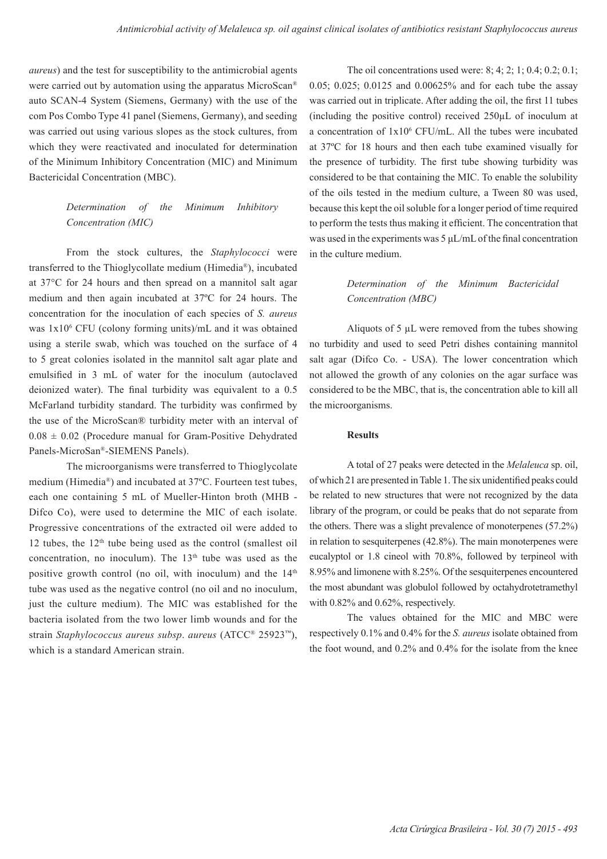*aureus*) and the test for susceptibility to the antimicrobial agents were carried out by automation using the apparatus MicroScan® auto SCAN-4 System (Siemens, Germany) with the use of the com Pos Combo Type 41 panel (Siemens, Germany), and seeding was carried out using various slopes as the stock cultures, from which they were reactivated and inoculated for determination of the Minimum Inhibitory Concentration (MIC) and Minimum Bactericidal Concentration (MBC).

# *Determination of the Minimum Inhibitory Concentration (MIC)*

From the stock cultures, the *Staphylococci* were transferred to the Thioglycollate medium (Himedia®), incubated at 37°C for 24 hours and then spread on a mannitol salt agar medium and then again incubated at 37ºC for 24 hours. The concentration for the inoculation of each species of *S. aureus* was 1x10<sup>6</sup> CFU (colony forming units)/mL and it was obtained using a sterile swab, which was touched on the surface of 4 to 5 great colonies isolated in the mannitol salt agar plate and emulsified in 3 mL of water for the inoculum (autoclaved deionized water). The final turbidity was equivalent to a 0.5 McFarland turbidity standard. The turbidity was confirmed by the use of the MicroScan® turbidity meter with an interval of  $0.08 \pm 0.02$  (Procedure manual for Gram-Positive Dehydrated Panels-MicroSan®-SIEMENS Panels).

The microorganisms were transferred to Thioglycolate medium (Himedia®) and incubated at 37ºC. Fourteen test tubes, each one containing 5 mL of Mueller-Hinton broth (MHB - Difco Co), were used to determine the MIC of each isolate. Progressive concentrations of the extracted oil were added to 12 tubes, the  $12<sup>th</sup>$  tube being used as the control (smallest oil) concentration, no inoculum). The  $13<sup>th</sup>$  tube was used as the positive growth control (no oil, with inoculum) and the  $14<sup>th</sup>$ tube was used as the negative control (no oil and no inoculum, just the culture medium). The MIC was established for the bacteria isolated from the two lower limb wounds and for the strain *Staphylococcus aureus subsp*. *aureus* (ATCC® 25923™), which is a standard American strain.

The oil concentrations used were: 8; 4; 2; 1; 0.4; 0.2; 0.1; 0.05; 0.025; 0.0125 and 0.00625% and for each tube the assay was carried out in triplicate. After adding the oil, the first 11 tubes (including the positive control) received 250µL of inoculum at a concentration of 1x106 CFU/mL. All the tubes were incubated at 37ºC for 18 hours and then each tube examined visually for the presence of turbidity. The first tube showing turbidity was considered to be that containing the MIC. To enable the solubility of the oils tested in the medium culture, a Tween 80 was used, because this kept the oil soluble for a longer period of time required to perform the tests thus making it efficient. The concentration that was used in the experiments was 5 μL/mL of the final concentration in the culture medium.

## *Determination of the Minimum Bactericidal Concentration (MBC)*

Aliquots of 5 µL were removed from the tubes showing no turbidity and used to seed Petri dishes containing mannitol salt agar (Difco Co. - USA). The lower concentration which not allowed the growth of any colonies on the agar surface was considered to be the MBC, that is, the concentration able to kill all the microorganisms.

### **Results**

A total of 27 peaks were detected in the *Melaleuca* sp. oil, of which 21 are presented in Table 1. The six unidentified peaks could be related to new structures that were not recognized by the data library of the program, or could be peaks that do not separate from the others. There was a slight prevalence of monoterpenes (57.2%) in relation to sesquiterpenes (42.8%). The main monoterpenes were eucalyptol or 1.8 cineol with 70.8%, followed by terpineol with 8.95% and limonene with 8.25%. Of the sesquiterpenes encountered the most abundant was globulol followed by octahydrotetramethyl with 0.82% and 0.62%, respectively.

The values obtained for the MIC and MBC were respectively 0.1% and 0.4% for the *S. aureus* isolate obtained from the foot wound, and 0.2% and 0.4% for the isolate from the knee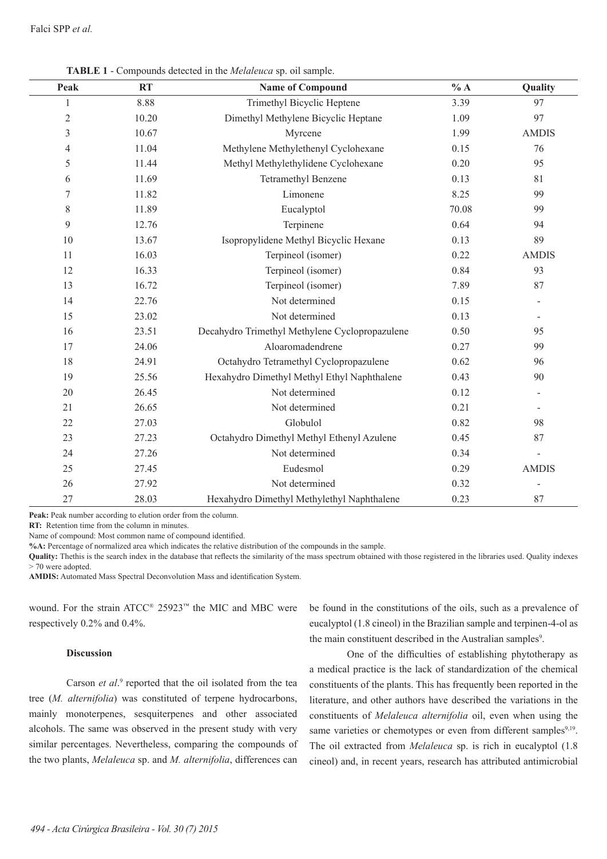| Peak   | <b>RT</b> | <b>Name of Compound</b>                        | % A   | Quality      |
|--------|-----------|------------------------------------------------|-------|--------------|
| 1      | 8.88      | Trimethyl Bicyclic Heptene                     | 3.39  | 97           |
| 2      | 10.20     | Dimethyl Methylene Bicyclic Heptane            | 1.09  | 97           |
| 3      | 10.67     | Myrcene                                        | 1.99  | <b>AMDIS</b> |
| 4      | 11.04     | Methylene Methylethenyl Cyclohexane            | 0.15  | 76           |
| 5      | 11.44     | Methyl Methylethylidene Cyclohexane            | 0.20  | 95           |
| 6      | 11.69     | Tetramethyl Benzene                            | 0.13  | 81           |
| 7      | 11.82     | Limonene                                       | 8.25  | 99           |
| 8      | 11.89     | Eucalyptol                                     | 70.08 | 99           |
| 9      | 12.76     | Terpinene                                      | 0.64  | 94           |
| $10\,$ | 13.67     | Isopropylidene Methyl Bicyclic Hexane          | 0.13  | 89           |
| 11     | 16.03     | Terpineol (isomer)                             | 0.22  | <b>AMDIS</b> |
| 12     | 16.33     | Terpineol (isomer)                             | 0.84  | 93           |
| 13     | 16.72     | Terpineol (isomer)                             | 7.89  | 87           |
| 14     | 22.76     | Not determined                                 | 0.15  |              |
| 15     | 23.02     | Not determined                                 | 0.13  |              |
| 16     | 23.51     | Decahydro Trimethyl Methylene Cyclopropazulene | 0.50  | 95           |
| 17     | 24.06     | Aloaromadendrene                               | 0.27  | 99           |
| 18     | 24.91     | Octahydro Tetramethyl Cyclopropazulene         | 0.62  | 96           |
| 19     | 25.56     | Hexahydro Dimethyl Methyl Ethyl Naphthalene    | 0.43  | 90           |
| 20     | 26.45     | Not determined                                 | 0.12  |              |
| 21     | 26.65     | Not determined                                 | 0.21  |              |
| 22     | 27.03     | Globulol                                       | 0.82  | 98           |
| 23     | 27.23     | Octahydro Dimethyl Methyl Ethenyl Azulene      | 0.45  | 87           |
| 24     | 27.26     | Not determined                                 | 0.34  |              |
| 25     | 27.45     | Eudesmol                                       | 0.29  | <b>AMDIS</b> |
| 26     | 27.92     | Not determined                                 | 0.32  |              |
| 27     | 28.03     | Hexahydro Dimethyl Methylethyl Naphthalene     | 0.23  | 87           |

**TABLE 1** - Compounds detected in the *Melaleuca* sp. oil sample.

Peak: Peak number according to elution order from the column.

**RT:** Retention time from the column in minutes.

Name of compound: Most common name of compound identified.

**%A:** Percentage of normalized area which indicates the relative distribution of the compounds in the sample.

**Quality:** Thethis is the search index in the database that reflects the similarity of the mass spectrum obtained with those registered in the libraries used. Quality indexes > 70 were adopted.

**AMDIS:** Automated Mass Spectral Deconvolution Mass and identification System.

wound. For the strain ATCC® 25923™ the MIC and MBC were respectively 0.2% and 0.4%.

### **Discussion**

Carson *et al.*<sup>9</sup> reported that the oil isolated from the tea tree (*M. alternifolia*) was constituted of terpene hydrocarbons, mainly monoterpenes, sesquiterpenes and other associated alcohols. The same was observed in the present study with very similar percentages. Nevertheless, comparing the compounds of the two plants, *Melaleuca* sp. and *M. alternifolia*, differences can

be found in the constitutions of the oils, such as a prevalence of eucalyptol (1.8 cineol) in the Brazilian sample and terpinen-4-ol as the main constituent described in the Australian samples<sup>9</sup>.

One of the difficulties of establishing phytotherapy as a medical practice is the lack of standardization of the chemical constituents of the plants. This has frequently been reported in the literature, and other authors have described the variations in the constituents of *Melaleuca alternifolia* oil, even when using the same varieties or chemotypes or even from different samples9,19. The oil extracted from *Melaleuca* sp. is rich in eucalyptol (1.8 cineol) and, in recent years, research has attributed antimicrobial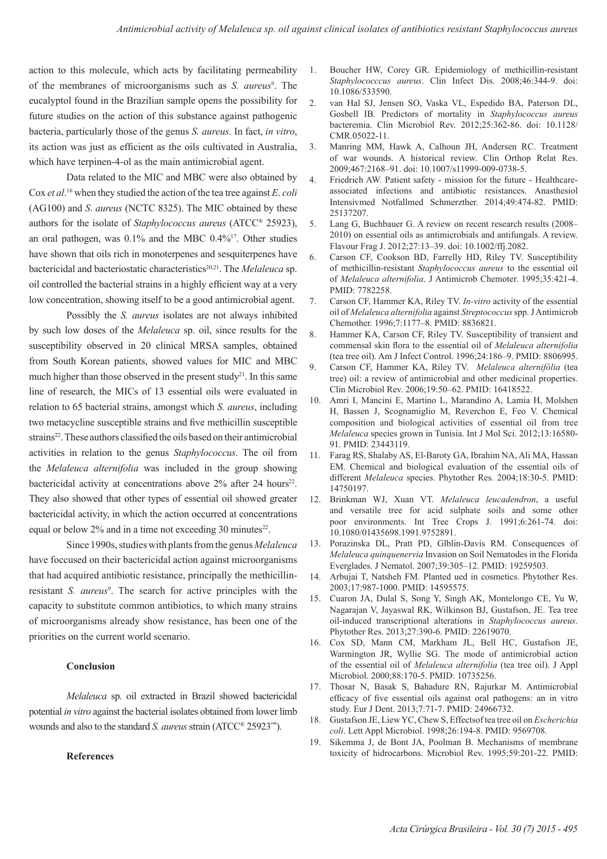action to this molecule, which acts by facilitating permeability of the membranes of microorganisms such as *S. aureus*<sup>9</sup>. The eucalyptol found in the Brazilian sample opens the possibility for future studies on the action of this substance against pathogenic bacteria, particularly those of the genus *S. aureus.* In fact, *in vitro*, its action was just as efficient as the oils cultivated in Australia, which have terpinen-4-ol as the main antimicrobial agent.

Data related to the MIC and MBC were also obtained by Cox *et al*. 16 when they studied the action of the tea tree against *E*. *coli* (AG100) and *S*. *aureus* (NCTC 8325). The MIC obtained by these authors for the isolate of *Staphylococcus aureus* (ATCC® 25923), an oral pathogen, was 0.1% and the MBC 0.4%17. Other studies have shown that oils rich in monoterpenes and sesquiterpenes have bactericidal and bacteriostatic characteristics<sup>20,21</sup>. The *Melaleuca* sp. oil controlled the bacterial strains in a highly efficient way at a very low concentration, showing itself to be a good antimicrobial agent.

Possibly the *S. aureus* isolates are not always inhibited by such low doses of the *Melaleuca* sp. oil, since results for the susceptibility observed in 20 clinical MRSA samples, obtained from South Korean patients, showed values for MIC and MBC much higher than those observed in the present study<sup>21</sup>. In this same line of research, the MICs of 13 essential oils were evaluated in relation to 65 bacterial strains, amongst which *S. aureus*, including two metacycline susceptible strains and five methicillin susceptible strains<sup>22</sup>. These authors classified the oils based on their antimicrobial activities in relation to the genus *Staphylococcus*. The oil from the *Melaleuca alternifolia* was included in the group showing bactericidal activity at concentrations above  $2\%$  after 24 hours<sup>22</sup>. They also showed that other types of essential oil showed greater bactericidal activity, in which the action occurred at concentrations equal or below  $2\%$  and in a time not exceeding 30 minutes<sup>22</sup>.

Since 1990s, studies with plants from the genus *Melaleuca*  have foccused on their bactericidal action against microorganisms that had acquired antibiotic resistance, principally the methicillinresistant *S. aureus*<sup>9</sup>. The search for active principles with the capacity to substitute common antibiotics, to which many strains of microorganisms already show resistance, has been one of the priorities on the current world scenario.

#### **Conclusion**

*Melaleuca* sp. oil extracted in Brazil showed bactericidal potential *in vitro* against the bacterial isolates obtained from lower limb wounds and also to the standard *S. aureus* strain (ATCC® 25923™).

### **References**

- 1. Boucher HW, Corey GR. Epidemiology of methicillin-resistant *Staphylococccus aureus*. Clin Infect Dis. 2008;46:344-9. doi: 10.1086/533590.
- 2. van Hal SJ, Jensen SO, Vaska VL, Espedido BA, Paterson DL, Gosbell IB. Predictors of mortality in *Staphylococcus aureus* bacteremia. Clin Microbiol Rev. 2012;25:362-86. doi: 10.1128/ CMR.05022-11.
- 3. Manring MM, Hawk A, Calhoun JH, Andersen RC. Treatment of war wounds. A historical review. Clin Orthop Relat Res. 2009;467:2168–91. doi: 10.1007/s11999-009-0738-5.
- 4. Friedrich AW. Patient safety mission for the future Healthcareassociated infections and antibiotic resistances. Anasthesiol Intensivmed Notfallmed Schmerzther. 2014;49:474-82. PMID: 25137207.
- 5. Lang G, Buchbauer G. A review on recent research results (2008– 2010) on essential oils as antimicrobials and antifungals. A review. Flavour Frag J. 2012;27:13–39. doi: 10.1002/ffj.2082.
- 6. Carson CF, Cookson BD, Farrelly HD, Riley TV. Susceptibility of methicillin-resistant *Staphylococcus aureus* to the essential oil of *Melaleuca alternifolia*. J Antimicrob Chemoter. 1995;35:421-4. PMID: 7782258.
- 7. Carson CF, Hammer KA, Riley TV. *In-vitro* activity of the essential oil of *Melaleuca alternifolia* against *Streptococcus* spp. J Antimicrob Chemother. 1996;7:1177–8. PMID: 8836821.
- 8. Hammer KA, Carson CF, Riley TV. Susceptibility of transient and commensal skin flora to the essential oil of *Melaleuca alternifolia* (tea tree oil). Am J Infect Control. 1996;24:186–9. PMID: 8806995.
- 9. Carson CF, Hammer KA, Riley TV. *Melaleuca alternifólia* (tea tree) oil: a review of antimicrobial and other medicinal properties. Clin Microbiol Rev. 2006;19:50–62. PMID: 16418522.
- 10. Amri I, Mancini E, Martino L, Marandino A, Lamia H, Molshen H, Bassen J, Scognamiglio M, Reverchon E, Feo V. Chemical composition and biological activities of essential oil from tree *Melaleuca* species grown in Tunisia. Int J Mol Sci. 2012;13:16580- 91. PMID: 23443119.
- 11. Farag RS, Shalaby AS, El-Baroty GA, Ibrahim NA, Ali MA, Hassan EM. Chemical and biological evaluation of the essential oils of different *Melaleuca* species. Phytother Res. 2004;18:30-5. PMID: 14750197.
- 12. Brinkman WJ, Xuan VT. *Melaleuca leucadendron*, a useful and versatile tree for acid sulphate soils and some other poor environments. Int Tree Crops J. 1991;6:261-74. doi: 10.1080/01435698.1991.9752891.
- 13. Porazinska DL, Pratt PD, Glblin-Davis RM. Consequences of *Melaleuca quinquenervia* Invasion on Soil Nematodes in the Florida Everglades. J Nematol. 2007;39:305–12. PMID: 19259503.
- 14. Arbujai T, Natsheh FM. Planted ued in cosmetics. Phytother Res. 2003;17:987-1000. PMID: 14595575.
- 15. Cuaron JA, Dulal S, Song Y, Singh AK, Montelongo CE, Yu W, Nagarajan V, Jayaswal RK, Wilkinson BJ, Gustafson, JE. Tea tree oil-induced transcriptional alterations in *Staphylococcus aureus*. Phytother Res. 2013;27:390-6. PMID: 22619070.
- 16. Cox SD, Mann CM, Markham JL, Bell HC, Gustafson JE, Warmington JR, Wyllie SG. The mode of antimicrobial action of the essential oil of *Melaleuca alternifolia* (tea tree oil). J Appl Microbiol. 2000;88:170-5. PMID: 10735256.
- 17. Thosar N, Basak S, Bahadure RN, Rajurkar M. Antimicrobial efficacy of five essential oils against oral pathogens: an in vitro study. Eur J Dent. 2013;7:71-7. PMID: 24966732.
- 18. Gustafson JE, Liew YC, Chew S, Effectsof tea tree oil on *Escherichia coli*. Lett Appl Microbiol. 1998;26:194-8. PMID: 9569708.
- 19. Sikemma J, de Bont JA, Poolman B. Mechanisms of membrane toxicity of hidrocarbons. Microbiol Rev. 1995;59:201-22. PMID: